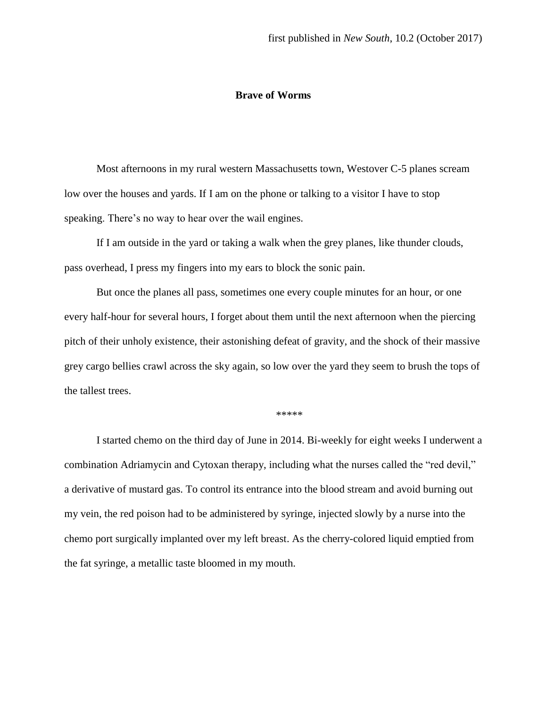## **Brave of Worms**

Most afternoons in my rural western Massachusetts town, Westover C-5 planes scream low over the houses and yards. If I am on the phone or talking to a visitor I have to stop speaking. There's no way to hear over the wail engines.

If I am outside in the yard or taking a walk when the grey planes, like thunder clouds, pass overhead, I press my fingers into my ears to block the sonic pain.

But once the planes all pass, sometimes one every couple minutes for an hour, or one every half-hour for several hours, I forget about them until the next afternoon when the piercing pitch of their unholy existence, their astonishing defeat of gravity, and the shock of their massive grey cargo bellies crawl across the sky again, so low over the yard they seem to brush the tops of the tallest trees.

\*\*\*\*\*

I started chemo on the third day of June in 2014. Bi-weekly for eight weeks I underwent a combination Adriamycin and Cytoxan therapy, including what the nurses called the "red devil," a derivative of mustard gas. To control its entrance into the blood stream and avoid burning out my vein, the red poison had to be administered by syringe, injected slowly by a nurse into the chemo port surgically implanted over my left breast. As the cherry-colored liquid emptied from the fat syringe, a metallic taste bloomed in my mouth.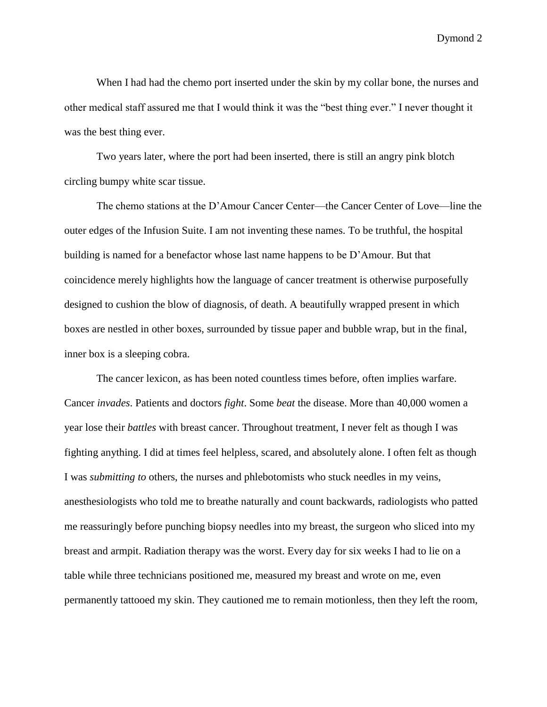When I had had the chemo port inserted under the skin by my collar bone, the nurses and other medical staff assured me that I would think it was the "best thing ever." I never thought it was the best thing ever.

Two years later, where the port had been inserted, there is still an angry pink blotch circling bumpy white scar tissue.

The chemo stations at the D'Amour Cancer Center—the Cancer Center of Love—line the outer edges of the Infusion Suite. I am not inventing these names. To be truthful, the hospital building is named for a benefactor whose last name happens to be D'Amour. But that coincidence merely highlights how the language of cancer treatment is otherwise purposefully designed to cushion the blow of diagnosis, of death. A beautifully wrapped present in which boxes are nestled in other boxes, surrounded by tissue paper and bubble wrap, but in the final, inner box is a sleeping cobra.

The cancer lexicon, as has been noted countless times before, often implies warfare. Cancer *invades*. Patients and doctors *fight*. Some *beat* the disease. More than 40,000 women a year lose their *battles* with breast cancer. Throughout treatment, I never felt as though I was fighting anything. I did at times feel helpless, scared, and absolutely alone. I often felt as though I was *submitting to* others, the nurses and phlebotomists who stuck needles in my veins, anesthesiologists who told me to breathe naturally and count backwards, radiologists who patted me reassuringly before punching biopsy needles into my breast, the surgeon who sliced into my breast and armpit. Radiation therapy was the worst. Every day for six weeks I had to lie on a table while three technicians positioned me, measured my breast and wrote on me, even permanently tattooed my skin. They cautioned me to remain motionless, then they left the room,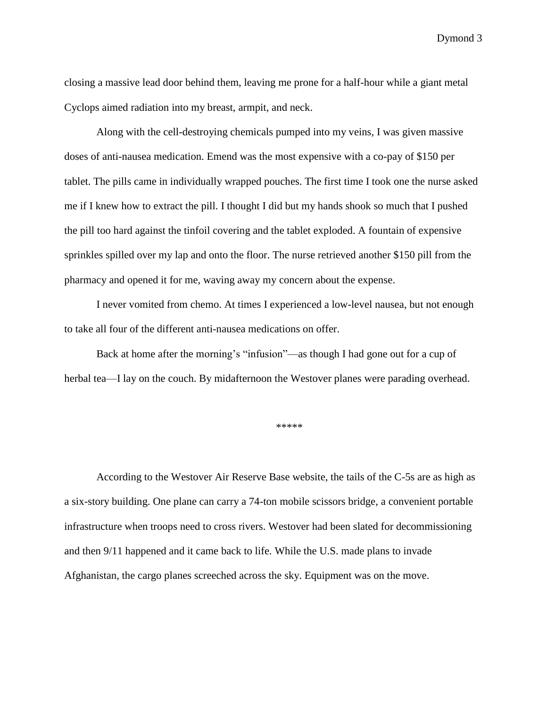closing a massive lead door behind them, leaving me prone for a half-hour while a giant metal Cyclops aimed radiation into my breast, armpit, and neck.

Along with the cell-destroying chemicals pumped into my veins, I was given massive doses of anti-nausea medication. Emend was the most expensive with a co-pay of \$150 per tablet. The pills came in individually wrapped pouches. The first time I took one the nurse asked me if I knew how to extract the pill. I thought I did but my hands shook so much that I pushed the pill too hard against the tinfoil covering and the tablet exploded. A fountain of expensive sprinkles spilled over my lap and onto the floor. The nurse retrieved another \$150 pill from the pharmacy and opened it for me, waving away my concern about the expense.

I never vomited from chemo. At times I experienced a low-level nausea, but not enough to take all four of the different anti-nausea medications on offer.

Back at home after the morning's "infusion"—as though I had gone out for a cup of herbal tea—I lay on the couch. By midafternoon the Westover planes were parading overhead.

\*\*\*\*\*

According to the Westover Air Reserve Base website, the tails of the C-5s are as high as a six-story building. One plane can carry a 74-ton mobile scissors bridge, a convenient portable infrastructure when troops need to cross rivers. Westover had been slated for decommissioning and then 9/11 happened and it came back to life. While the U.S. made plans to invade Afghanistan, the cargo planes screeched across the sky. Equipment was on the move.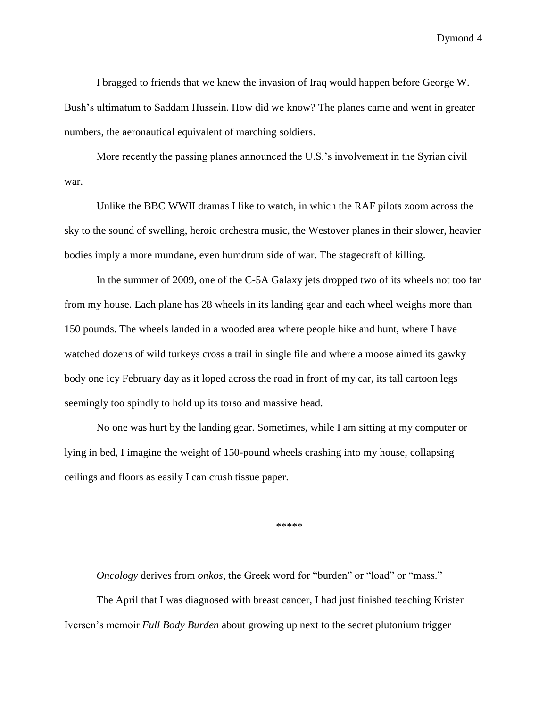I bragged to friends that we knew the invasion of Iraq would happen before George W. Bush's ultimatum to Saddam Hussein. How did we know? The planes came and went in greater numbers, the aeronautical equivalent of marching soldiers.

More recently the passing planes announced the U.S.'s involvement in the Syrian civil war.

Unlike the BBC WWII dramas I like to watch, in which the RAF pilots zoom across the sky to the sound of swelling, heroic orchestra music, the Westover planes in their slower, heavier bodies imply a more mundane, even humdrum side of war. The stagecraft of killing.

In the summer of 2009, one of the C-5A Galaxy jets dropped two of its wheels not too far from my house. Each plane has 28 wheels in its landing gear and each wheel weighs more than 150 pounds. The wheels landed in a wooded area where people hike and hunt, where I have watched dozens of wild turkeys cross a trail in single file and where a moose aimed its gawky body one icy February day as it loped across the road in front of my car, its tall cartoon legs seemingly too spindly to hold up its torso and massive head.

No one was hurt by the landing gear. Sometimes, while I am sitting at my computer or lying in bed, I imagine the weight of 150-pound wheels crashing into my house, collapsing ceilings and floors as easily I can crush tissue paper.

\*\*\*\*\*

*Oncology* derives from *onkos*, the Greek word for "burden" or "load" or "mass."

The April that I was diagnosed with breast cancer, I had just finished teaching Kristen Iversen's memoir *Full Body Burden* about growing up next to the secret plutonium trigger